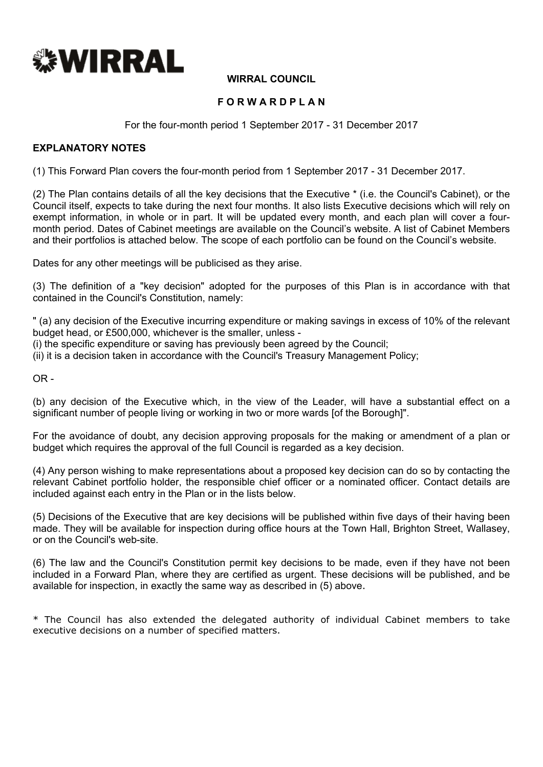

### **WIRRAL COUNCIL**

## **F O R W A R D P L A N**

For the four-month period 1 September 2017 - 31 December 2017

#### **EXPLANATORY NOTES**

(1) This Forward Plan covers the four-month period from 1 September 2017 - 31 December 2017.

(2) The Plan contains details of all the key decisions that the Executive \* (i.e. the Council's Cabinet), or the Council itself, expects to take during the next four months. It also lists Executive decisions which will rely on exempt information, in whole or in part. It will be updated every month, and each plan will cover a fourmonth period. Dates of Cabinet meetings are available on the Council's website. A list of Cabinet Members and their portfolios is attached below. The scope of each portfolio can be found on the Council's website.

Dates for any other meetings will be publicised as they arise.

(3) The definition of a "key decision" adopted for the purposes of this Plan is in accordance with that contained in the Council's Constitution, namely:

" (a) any decision of the Executive incurring expenditure or making savings in excess of 10% of the relevant budget head, or £500,000, whichever is the smaller, unless -

(i) the specific expenditure or saving has previously been agreed by the Council;

(ii) it is a decision taken in accordance with the Council's Treasury Management Policy;

 $OR -$ 

(b) any decision of the Executive which, in the view of the Leader, will have a substantial effect on a significant number of people living or working in two or more wards [of the Borough]".

For the avoidance of doubt, any decision approving proposals for the making or amendment of a plan or budget which requires the approval of the full Council is regarded as a key decision.

(4) Any person wishing to make representations about a proposed key decision can do so by contacting the relevant Cabinet portfolio holder, the responsible chief officer or a nominated officer. Contact details are included against each entry in the Plan or in the lists below.

(5) Decisions of the Executive that are key decisions will be published within five days of their having been made. They will be available for inspection during office hours at the Town Hall, Brighton Street, Wallasey, or on the Council's web-site.

(6) The law and the Council's Constitution permit key decisions to be made, even if they have not been included in a Forward Plan, where they are certified as urgent. These decisions will be published, and be available for inspection, in exactly the same way as described in (5) above.

\* The Council has also extended the delegated authority of individual Cabinet members to take executive decisions on a number of specified matters.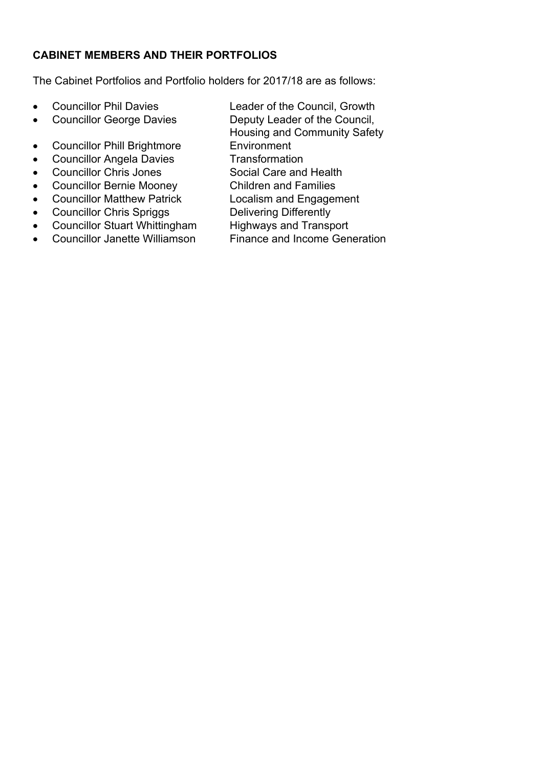# **CABINET MEMBERS AND THEIR PORTFOLIOS**

The Cabinet Portfolios and Portfolio holders for 2017/18 are as follows:

- Councillor Phil Davies Leader of the Council, Growth
- Councillor George Davies Deputy Leader of the Council,
- Councillor Phill Brightmore Environment<br>• Councillor Angela Davies Transformation
- $\bullet$  Councillor Angela Davies
- Councillor Chris Jones Social Care and Health
- Councillor Bernie Mooney Children and Families
- Councillor Matthew Patrick Localism and Engagement
- 
- Councillor Chris Spriggs Delivering Differently<br>• Councillor Stuart Whittingham Highways and Transport • Councillor Stuart Whittingham<br>• Councillor Janette Williamson
- 
- Housing and Community Safety
- 
- 
- 
- 
- 
- 
- 
- 
- Councillor Janette Williamson Finance and Income Generation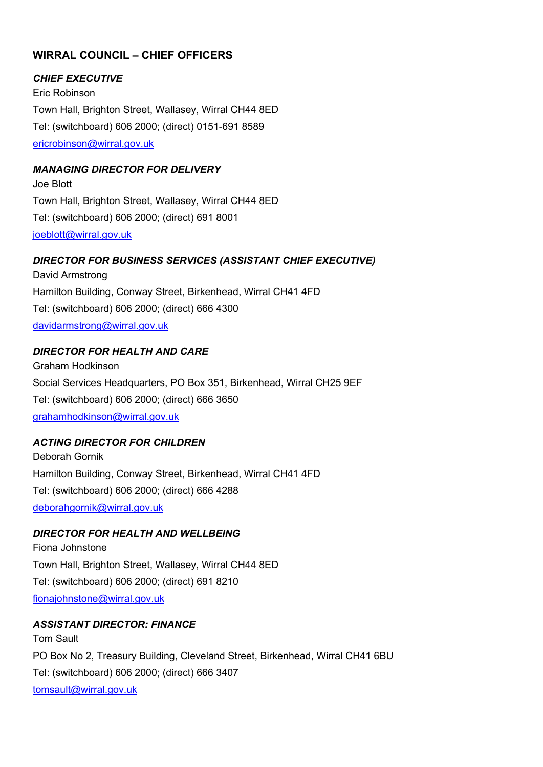# **WIRRAL COUNCIL – CHIEF OFFICERS**

#### *CHIEF EXECUTIVE*

Eric Robinson Town Hall, Brighton Street, Wallasey, Wirral CH44 8ED Tel: (switchboard) 606 2000; (direct) 0151-691 8589 [ericrobinson@wirral.gov.uk](mailto:ericrobinson@wirral.gov.uk)

### *MANAGING DIRECTOR FOR DELIVERY*

Joe Blott Town Hall, Brighton Street, Wallasey, Wirral CH44 8ED Tel: (switchboard) 606 2000; (direct) 691 8001 [joeblott@wirral.gov.uk](mailto:joeblott@wirral.gov.uk)

#### *DIRECTOR FOR BUSINESS SERVICES (ASSISTANT CHIEF EXECUTIVE)*

David Armstrong Hamilton Building, Conway Street, Birkenhead, Wirral CH41 4FD Tel: (switchboard) 606 2000; (direct) 666 4300 [davidarmstrong@wirral.gov.uk](mailto:davidarmstrong@wirral.gov.uk)

#### *DIRECTOR FOR HEALTH AND CARE*

Graham Hodkinson Social Services Headquarters, PO Box 351, Birkenhead, Wirral CH25 9EF Tel: (switchboard) 606 2000; (direct) 666 3650 [grahamhodkinson@wirral.gov.uk](mailto:grahamhodkinson@wirral.gov.uk)

### *ACTING DIRECTOR FOR CHILDREN*

Deborah Gornik Hamilton Building, Conway Street, Birkenhead, Wirral CH41 4FD Tel: (switchboard) 606 2000; (direct) 666 4288 [deborahgornik@wirral.gov.uk](mailto:deborahgornik@wirral.gov.uk)

### *DIRECTOR FOR HEALTH AND WELLBEING*

Fiona Johnstone Town Hall, Brighton Street, Wallasey, Wirral CH44 8ED Tel: (switchboard) 606 2000; (direct) 691 8210 [fionajohnstone@wirral.gov.uk](mailto:fionajohnstone@wirral.gov.uk)

#### *ASSISTANT DIRECTOR: FINANCE*

Tom Sault PO Box No 2, Treasury Building, Cleveland Street, Birkenhead, Wirral CH41 6BU Tel: (switchboard) 606 2000; (direct) 666 3407 [tomsault@wirral.gov.uk](mailto:viviennequayle@wirral.gov.uk)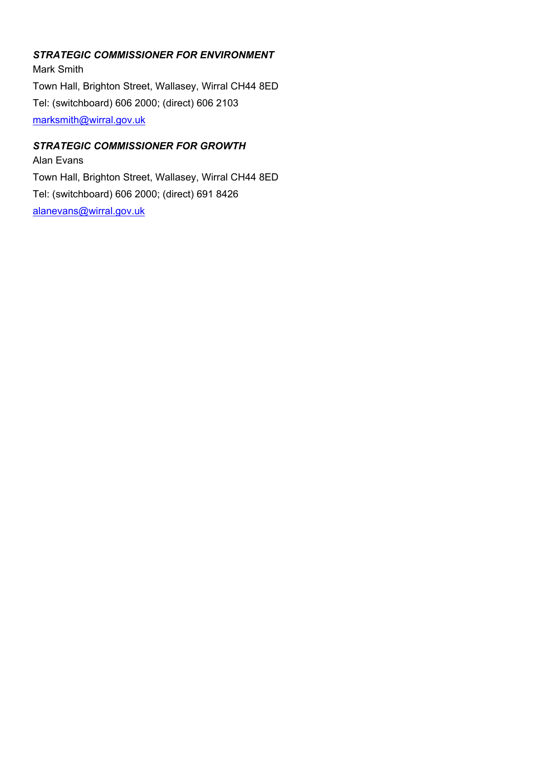# *STRATEGIC COMMISSIONER FOR ENVIRONMENT*

Mark Smith Town Hall, Brighton Street, Wallasey, Wirral CH44 8ED Tel: (switchboard) 606 2000; (direct) 606 2103 [marksmith@wirral.gov.uk](mailto:marksmith@wirral.gov.uk)

## *STRATEGIC COMMISSIONER FOR GROWTH*

Alan Evans Town Hall, Brighton Street, Wallasey, Wirral CH44 8ED Tel: (switchboard) 606 2000; (direct) 691 8426 [alanevans@wirral.gov.uk](mailto:alanevans@wirral.gov.uk)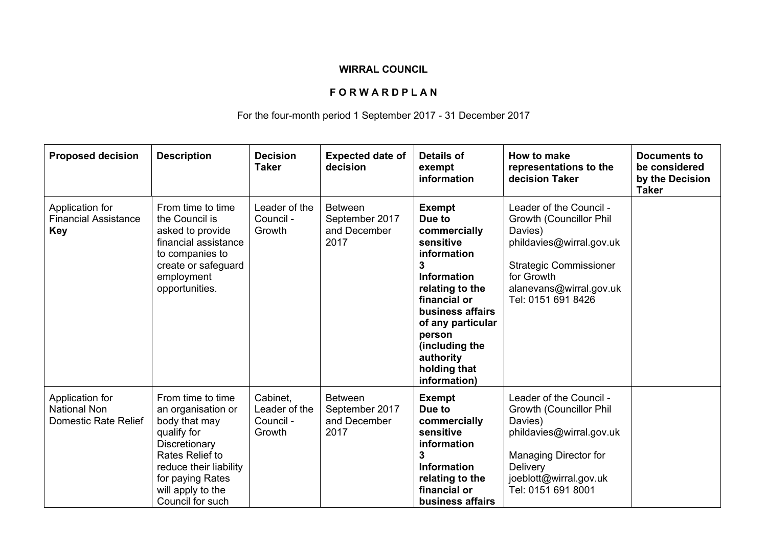## **WIRRAL COUNCIL**

# **F O R W A R D P L A N**

# For the four-month period 1 September 2017 - 31 December 2017

| <b>Proposed decision</b>                                       | <b>Description</b>                                                                                                                                                                                 | <b>Decision</b><br><b>Taker</b>                  | <b>Expected date of</b><br>decision                      | <b>Details of</b><br>exempt<br>information                                                                                                                                                                                                                 | How to make<br>representations to the<br>decision Taker                                                                                                                                           | <b>Documents to</b><br>be considered<br>by the Decision<br><b>Taker</b> |
|----------------------------------------------------------------|----------------------------------------------------------------------------------------------------------------------------------------------------------------------------------------------------|--------------------------------------------------|----------------------------------------------------------|------------------------------------------------------------------------------------------------------------------------------------------------------------------------------------------------------------------------------------------------------------|---------------------------------------------------------------------------------------------------------------------------------------------------------------------------------------------------|-------------------------------------------------------------------------|
| Application for<br><b>Financial Assistance</b><br><b>Key</b>   | From time to time<br>the Council is<br>asked to provide<br>financial assistance<br>to companies to<br>create or safeguard<br>employment<br>opportunities.                                          | Leader of the<br>Council -<br>Growth             | <b>Between</b><br>September 2017<br>and December<br>2017 | <b>Exempt</b><br>Due to<br>commercially<br>sensitive<br><i>information</i><br>3<br><b>Information</b><br>relating to the<br>financial or<br>business affairs<br>of any particular<br>person<br>(including the<br>authority<br>holding that<br>information) | Leader of the Council -<br><b>Growth (Councillor Phil)</b><br>Davies)<br>phildavies@wirral.gov.uk<br><b>Strategic Commissioner</b><br>for Growth<br>alanevans@wirral.gov.uk<br>Tel: 0151 691 8426 |                                                                         |
| Application for<br><b>National Non</b><br>Domestic Rate Relief | From time to time<br>an organisation or<br>body that may<br>qualify for<br>Discretionary<br>Rates Relief to<br>reduce their liability<br>for paying Rates<br>will apply to the<br>Council for such | Cabinet.<br>Leader of the<br>Council -<br>Growth | <b>Between</b><br>September 2017<br>and December<br>2017 | <b>Exempt</b><br>Due to<br>commercially<br>sensitive<br>information<br>3<br><b>Information</b><br>relating to the<br>financial or<br>business affairs                                                                                                      | Leader of the Council -<br><b>Growth (Councillor Phil)</b><br>Davies)<br>phildavies@wirral.gov.uk<br>Managing Director for<br>Delivery<br>joeblott@wirral.gov.uk<br>Tel: 0151 691 8001            |                                                                         |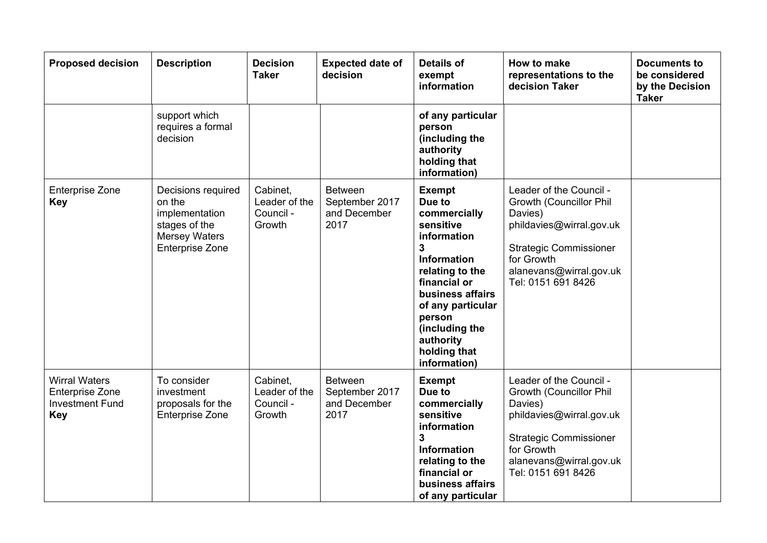| <b>Proposed decision</b>                                                               | <b>Description</b>                                                                                                | <b>Decision</b><br><b>Taker</b>                  | <b>Expected date of</b><br>decision                      | <b>Details of</b><br>exempt<br>information                                                                                                                                                                                                                     | How to make<br>representations to the<br>decision Taker                                                                                                                                   | <b>Documents to</b><br>be considered<br>by the Decision<br><b>Taker</b> |
|----------------------------------------------------------------------------------------|-------------------------------------------------------------------------------------------------------------------|--------------------------------------------------|----------------------------------------------------------|----------------------------------------------------------------------------------------------------------------------------------------------------------------------------------------------------------------------------------------------------------------|-------------------------------------------------------------------------------------------------------------------------------------------------------------------------------------------|-------------------------------------------------------------------------|
|                                                                                        | support which<br>requires a formal<br>decision                                                                    |                                                  |                                                          | of any particular<br>person<br>(including the<br>authority<br>holding that<br>information)                                                                                                                                                                     |                                                                                                                                                                                           |                                                                         |
| <b>Enterprise Zone</b><br><b>Key</b>                                                   | Decisions required<br>on the<br>implementation<br>stages of the<br><b>Mersey Waters</b><br><b>Enterprise Zone</b> | Cabinet,<br>Leader of the<br>Council -<br>Growth | <b>Between</b><br>September 2017<br>and December<br>2017 | <b>Exempt</b><br>Due to<br>commercially<br>sensitive<br>information<br>$\mathbf{3}$<br><b>Information</b><br>relating to the<br>financial or<br>business affairs<br>of any particular<br>person<br>(including the<br>authority<br>holding that<br>information) | Leader of the Council -<br>Growth (Councillor Phil<br>Davies)<br>phildavies@wirral.gov.uk<br><b>Strategic Commissioner</b><br>for Growth<br>alanevans@wirral.gov.uk<br>Tel: 0151 691 8426 |                                                                         |
| <b>Wirral Waters</b><br><b>Enterprise Zone</b><br><b>Investment Fund</b><br><b>Key</b> | To consider<br>investment<br>proposals for the<br><b>Enterprise Zone</b>                                          | Cabinet.<br>Leader of the<br>Council -<br>Growth | <b>Between</b><br>September 2017<br>and December<br>2017 | <b>Exempt</b><br>Due to<br>commercially<br>sensitive<br>information<br>3<br><b>Information</b><br>relating to the<br>financial or<br>business affairs<br>of any particular                                                                                     | Leader of the Council -<br>Growth (Councillor Phil<br>Davies)<br>phildavies@wirral.gov.uk<br><b>Strategic Commissioner</b><br>for Growth<br>alanevans@wirral.gov.uk<br>Tel: 0151 691 8426 |                                                                         |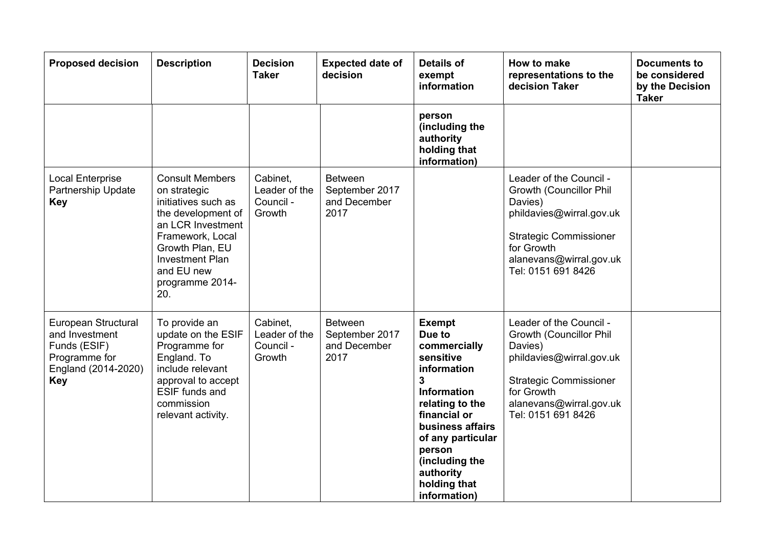| <b>Proposed decision</b>                                                                                    | <b>Description</b>                                                                                                                                                                                                | <b>Decision</b><br><b>Taker</b>                  | <b>Expected date of</b><br>decision                      | <b>Details of</b><br>exempt<br>information                                                                                                                                                                                                                       | How to make<br>representations to the<br>decision Taker                                                                                                                                   | <b>Documents to</b><br>be considered<br>by the Decision<br><b>Taker</b> |
|-------------------------------------------------------------------------------------------------------------|-------------------------------------------------------------------------------------------------------------------------------------------------------------------------------------------------------------------|--------------------------------------------------|----------------------------------------------------------|------------------------------------------------------------------------------------------------------------------------------------------------------------------------------------------------------------------------------------------------------------------|-------------------------------------------------------------------------------------------------------------------------------------------------------------------------------------------|-------------------------------------------------------------------------|
|                                                                                                             |                                                                                                                                                                                                                   |                                                  |                                                          | person<br>(including the<br>authority<br>holding that<br>information)                                                                                                                                                                                            |                                                                                                                                                                                           |                                                                         |
| <b>Local Enterprise</b><br>Partnership Update<br><b>Key</b>                                                 | <b>Consult Members</b><br>on strategic<br>initiatives such as<br>the development of<br>an LCR Investment<br>Framework, Local<br>Growth Plan, EU<br><b>Investment Plan</b><br>and EU new<br>programme 2014-<br>20. | Cabinet,<br>Leader of the<br>Council -<br>Growth | <b>Between</b><br>September 2017<br>and December<br>2017 |                                                                                                                                                                                                                                                                  | Leader of the Council -<br>Growth (Councillor Phil<br>Davies)<br>phildavies@wirral.gov.uk<br><b>Strategic Commissioner</b><br>for Growth<br>alanevans@wirral.gov.uk<br>Tel: 0151 691 8426 |                                                                         |
| European Structural<br>and Investment<br>Funds (ESIF)<br>Programme for<br>England (2014-2020)<br><b>Key</b> | To provide an<br>update on the ESIF<br>Programme for<br>England. To<br>include relevant<br>approval to accept<br><b>ESIF</b> funds and<br>commission<br>relevant activity.                                        | Cabinet,<br>Leader of the<br>Council -<br>Growth | <b>Between</b><br>September 2017<br>and December<br>2017 | <b>Exempt</b><br>Due to<br>commercially<br>sensitive<br>information<br>$\overline{3}$<br><b>Information</b><br>relating to the<br>financial or<br>business affairs<br>of any particular<br>person<br>(including the<br>authority<br>holding that<br>information) | Leader of the Council -<br>Growth (Councillor Phil<br>Davies)<br>phildavies@wirral.gov.uk<br><b>Strategic Commissioner</b><br>for Growth<br>alanevans@wirral.gov.uk<br>Tel: 0151 691 8426 |                                                                         |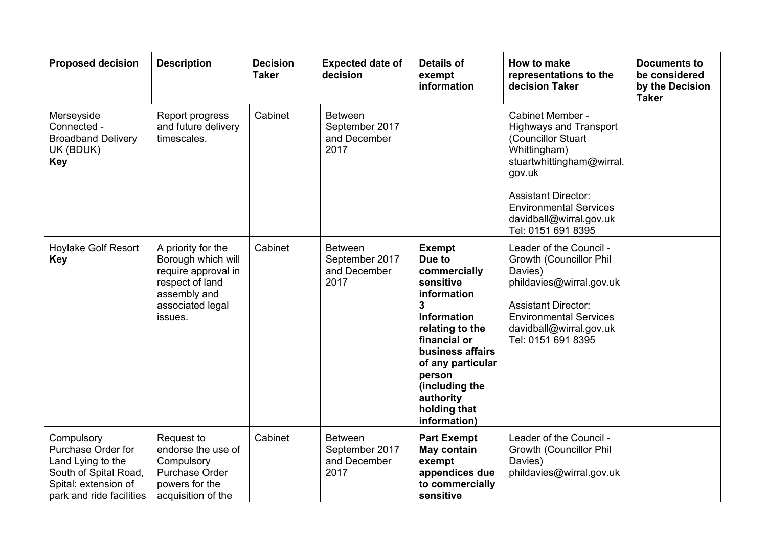| <b>Proposed decision</b>                                                                                                           | <b>Description</b>                                                                                                                | <b>Decision</b><br><b>Taker</b> | <b>Expected date of</b><br>decision                      | <b>Details of</b><br>exempt<br>information                                                                                                                                                                                                          | How to make<br>representations to the<br>decision Taker                                                                                                                                                                                        | <b>Documents to</b><br>be considered<br>by the Decision<br><b>Taker</b> |
|------------------------------------------------------------------------------------------------------------------------------------|-----------------------------------------------------------------------------------------------------------------------------------|---------------------------------|----------------------------------------------------------|-----------------------------------------------------------------------------------------------------------------------------------------------------------------------------------------------------------------------------------------------------|------------------------------------------------------------------------------------------------------------------------------------------------------------------------------------------------------------------------------------------------|-------------------------------------------------------------------------|
| Merseyside<br>Connected -<br><b>Broadband Delivery</b><br>UK (BDUK)<br><b>Key</b>                                                  | Report progress<br>and future delivery<br>timescales.                                                                             | Cabinet                         | <b>Between</b><br>September 2017<br>and December<br>2017 |                                                                                                                                                                                                                                                     | Cabinet Member -<br><b>Highways and Transport</b><br>(Councillor Stuart<br>Whittingham)<br>stuartwhittingham@wirral.<br>gov.uk<br><b>Assistant Director:</b><br><b>Environmental Services</b><br>davidball@wirral.gov.uk<br>Tel: 0151 691 8395 |                                                                         |
| <b>Hoylake Golf Resort</b><br><b>Key</b>                                                                                           | A priority for the<br>Borough which will<br>require approval in<br>respect of land<br>assembly and<br>associated legal<br>issues. | Cabinet                         | <b>Between</b><br>September 2017<br>and December<br>2017 | <b>Exempt</b><br>Due to<br>commercially<br>sensitive<br>information<br>3<br><b>Information</b><br>relating to the<br>financial or<br>business affairs<br>of any particular<br>person<br>(including the<br>authority<br>holding that<br>information) | Leader of the Council -<br>Growth (Councillor Phil<br>Davies)<br>phildavies@wirral.gov.uk<br><b>Assistant Director:</b><br><b>Environmental Services</b><br>davidball@wirral.gov.uk<br>Tel: 0151 691 8395                                      |                                                                         |
| Compulsory<br>Purchase Order for<br>Land Lying to the<br>South of Spital Road,<br>Spital: extension of<br>park and ride facilities | Request to<br>endorse the use of<br>Compulsory<br>Purchase Order<br>powers for the<br>acquisition of the                          | Cabinet                         | <b>Between</b><br>September 2017<br>and December<br>2017 | <b>Part Exempt</b><br><b>May contain</b><br>exempt<br>appendices due<br>to commercially<br>sensitive                                                                                                                                                | Leader of the Council -<br>Growth (Councillor Phil<br>Davies)<br>phildavies@wirral.gov.uk                                                                                                                                                      |                                                                         |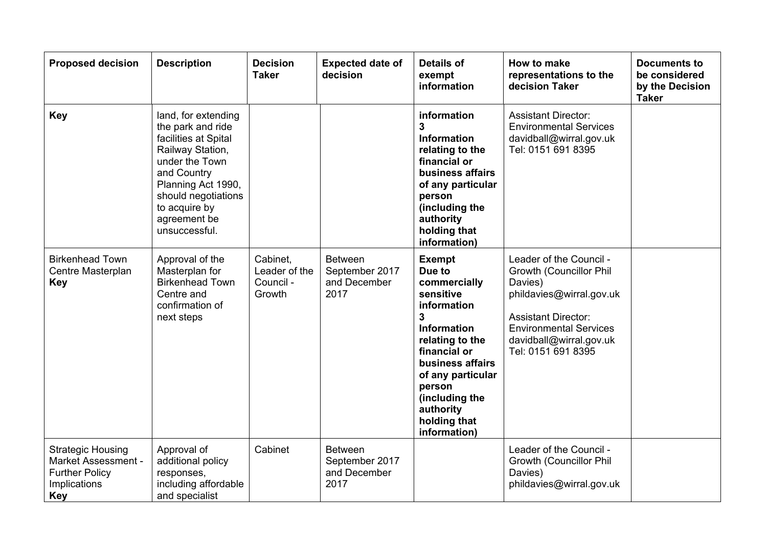| <b>Proposed decision</b>                                                                                      | <b>Description</b>                                                                                                                                                                                                   | <b>Decision</b><br><b>Taker</b>                  | <b>Expected date of</b><br>decision                      | <b>Details of</b><br>exempt<br>information                                                                                                                                                                                                                       | How to make<br>representations to the<br>decision Taker                                                                                                                                                   | <b>Documents to</b><br>be considered<br>by the Decision<br><b>Taker</b> |
|---------------------------------------------------------------------------------------------------------------|----------------------------------------------------------------------------------------------------------------------------------------------------------------------------------------------------------------------|--------------------------------------------------|----------------------------------------------------------|------------------------------------------------------------------------------------------------------------------------------------------------------------------------------------------------------------------------------------------------------------------|-----------------------------------------------------------------------------------------------------------------------------------------------------------------------------------------------------------|-------------------------------------------------------------------------|
| <b>Key</b>                                                                                                    | land, for extending<br>the park and ride<br>facilities at Spital<br>Railway Station,<br>under the Town<br>and Country<br>Planning Act 1990,<br>should negotiations<br>to acquire by<br>agreement be<br>unsuccessful. |                                                  |                                                          | information<br>3<br><b>Information</b><br>relating to the<br>financial or<br>business affairs<br>of any particular<br>person<br>(including the<br>authority<br>holding that<br>information)                                                                      | <b>Assistant Director:</b><br><b>Environmental Services</b><br>davidball@wirral.gov.uk<br>Tel: 0151 691 8395                                                                                              |                                                                         |
| <b>Birkenhead Town</b><br>Centre Masterplan<br><b>Key</b>                                                     | Approval of the<br>Masterplan for<br><b>Birkenhead Town</b><br>Centre and<br>confirmation of<br>next steps                                                                                                           | Cabinet.<br>Leader of the<br>Council -<br>Growth | <b>Between</b><br>September 2017<br>and December<br>2017 | <b>Exempt</b><br>Due to<br>commercially<br>sensitive<br>information<br>$\overline{3}$<br><b>Information</b><br>relating to the<br>financial or<br>business affairs<br>of any particular<br>person<br>(including the<br>authority<br>holding that<br>information) | Leader of the Council -<br>Growth (Councillor Phil<br>Davies)<br>phildavies@wirral.gov.uk<br><b>Assistant Director:</b><br><b>Environmental Services</b><br>davidball@wirral.gov.uk<br>Tel: 0151 691 8395 |                                                                         |
| <b>Strategic Housing</b><br><b>Market Assessment -</b><br><b>Further Policy</b><br>Implications<br><b>Key</b> | Approval of<br>additional policy<br>responses,<br>including affordable<br>and specialist                                                                                                                             | Cabinet                                          | <b>Between</b><br>September 2017<br>and December<br>2017 |                                                                                                                                                                                                                                                                  | Leader of the Council -<br>Growth (Councillor Phil<br>Davies)<br>phildavies@wirral.gov.uk                                                                                                                 |                                                                         |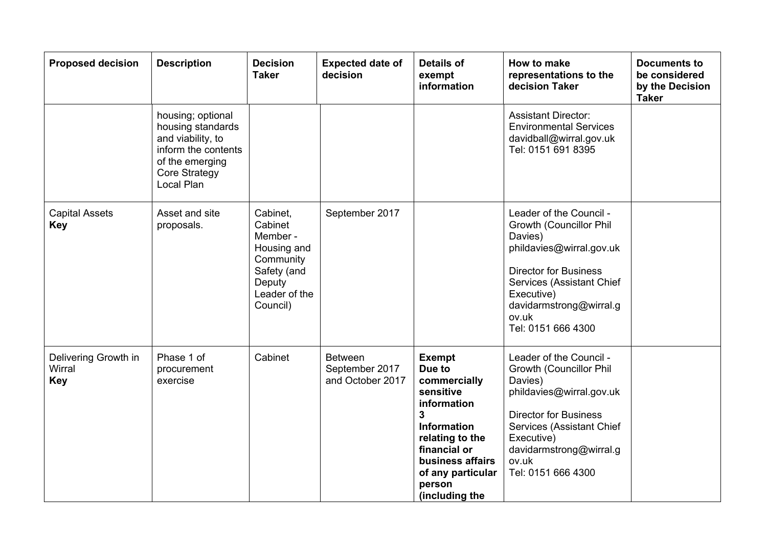| <b>Proposed decision</b>                     | <b>Description</b>                                                                                                                   | <b>Decision</b><br><b>Taker</b>                                                                                   | <b>Expected date of</b><br>decision                  | <b>Details of</b><br>exempt<br>information                                                                                                                                                             | How to make<br>representations to the<br>decision Taker                                                                                                                                                                        | <b>Documents to</b><br>be considered<br>by the Decision<br><b>Taker</b> |
|----------------------------------------------|--------------------------------------------------------------------------------------------------------------------------------------|-------------------------------------------------------------------------------------------------------------------|------------------------------------------------------|--------------------------------------------------------------------------------------------------------------------------------------------------------------------------------------------------------|--------------------------------------------------------------------------------------------------------------------------------------------------------------------------------------------------------------------------------|-------------------------------------------------------------------------|
|                                              | housing; optional<br>housing standards<br>and viability, to<br>inform the contents<br>of the emerging<br>Core Strategy<br>Local Plan |                                                                                                                   |                                                      |                                                                                                                                                                                                        | <b>Assistant Director:</b><br><b>Environmental Services</b><br>davidball@wirral.gov.uk<br>Tel: 0151 691 8395                                                                                                                   |                                                                         |
| <b>Capital Assets</b><br><b>Key</b>          | Asset and site<br>proposals.                                                                                                         | Cabinet,<br>Cabinet<br>Member -<br>Housing and<br>Community<br>Safety (and<br>Deputy<br>Leader of the<br>Council) | September 2017                                       |                                                                                                                                                                                                        | Leader of the Council -<br>Growth (Councillor Phil<br>Davies)<br>phildavies@wirral.gov.uk<br><b>Director for Business</b><br>Services (Assistant Chief<br>Executive)<br>davidarmstrong@wirral.g<br>ov.uk<br>Tel: 0151 666 4300 |                                                                         |
| Delivering Growth in<br>Wirral<br><b>Key</b> | Phase 1 of<br>procurement<br>exercise                                                                                                | Cabinet                                                                                                           | <b>Between</b><br>September 2017<br>and October 2017 | <b>Exempt</b><br>Due to<br>commercially<br>sensitive<br>information<br>3<br><b>Information</b><br>relating to the<br>financial or<br>business affairs<br>of any particular<br>person<br>(including the | Leader of the Council -<br>Growth (Councillor Phil<br>Davies)<br>phildavies@wirral.gov.uk<br><b>Director for Business</b><br>Services (Assistant Chief<br>Executive)<br>davidarmstrong@wirral.g<br>ov.uk<br>Tel: 0151 666 4300 |                                                                         |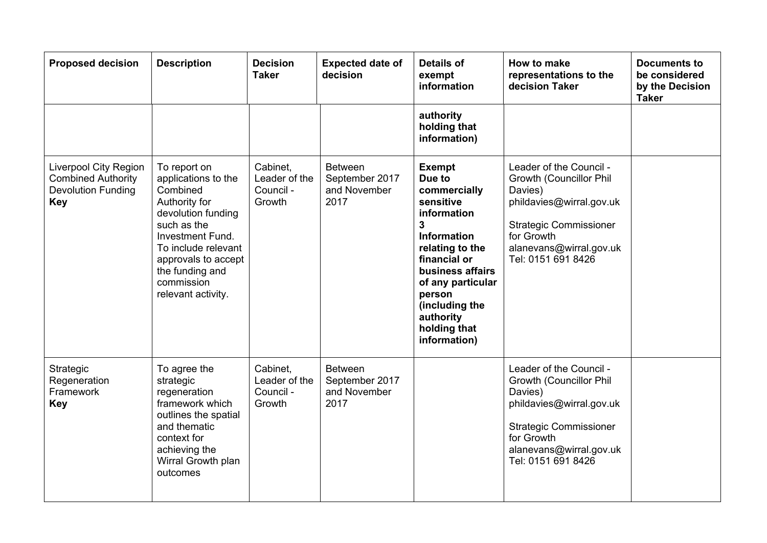| <b>Proposed decision</b>                                                                             | <b>Description</b>                                                                                                                                                                                                             | <b>Decision</b><br><b>Taker</b>                  | <b>Expected date of</b><br>decision                      | <b>Details of</b><br>exempt<br>information                                                                                                                                                                                                                       | How to make<br>representations to the<br>decision Taker                                                                                                                                   | <b>Documents to</b><br>be considered<br>by the Decision<br><b>Taker</b> |
|------------------------------------------------------------------------------------------------------|--------------------------------------------------------------------------------------------------------------------------------------------------------------------------------------------------------------------------------|--------------------------------------------------|----------------------------------------------------------|------------------------------------------------------------------------------------------------------------------------------------------------------------------------------------------------------------------------------------------------------------------|-------------------------------------------------------------------------------------------------------------------------------------------------------------------------------------------|-------------------------------------------------------------------------|
|                                                                                                      |                                                                                                                                                                                                                                |                                                  |                                                          | authority<br>holding that<br>information)                                                                                                                                                                                                                        |                                                                                                                                                                                           |                                                                         |
| <b>Liverpool City Region</b><br><b>Combined Authority</b><br><b>Devolution Funding</b><br><b>Key</b> | To report on<br>applications to the<br>Combined<br>Authority for<br>devolution funding<br>such as the<br>Investment Fund.<br>To include relevant<br>approvals to accept<br>the funding and<br>commission<br>relevant activity. | Cabinet,<br>Leader of the<br>Council -<br>Growth | <b>Between</b><br>September 2017<br>and November<br>2017 | <b>Exempt</b><br>Due to<br>commercially<br>sensitive<br>information<br>$\overline{3}$<br><b>Information</b><br>relating to the<br>financial or<br>business affairs<br>of any particular<br>person<br>(including the<br>authority<br>holding that<br>information) | Leader of the Council -<br>Growth (Councillor Phil<br>Davies)<br>phildavies@wirral.gov.uk<br><b>Strategic Commissioner</b><br>for Growth<br>alanevans@wirral.gov.uk<br>Tel: 0151 691 8426 |                                                                         |
| Strategic<br>Regeneration<br>Framework<br><b>Key</b>                                                 | To agree the<br>strategic<br>regeneration<br>framework which<br>outlines the spatial<br>and thematic<br>context for<br>achieving the<br>Wirral Growth plan<br>outcomes                                                         | Cabinet,<br>Leader of the<br>Council -<br>Growth | <b>Between</b><br>September 2017<br>and November<br>2017 |                                                                                                                                                                                                                                                                  | Leader of the Council -<br>Growth (Councillor Phil<br>Davies)<br>phildavies@wirral.gov.uk<br><b>Strategic Commissioner</b><br>for Growth<br>alanevans@wirral.gov.uk<br>Tel: 0151 691 8426 |                                                                         |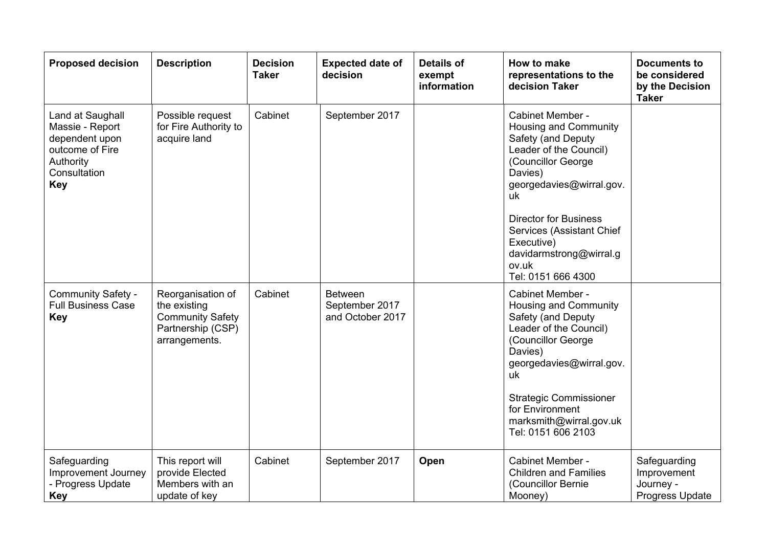| <b>Proposed decision</b>                                                                                            | <b>Description</b>                                                                                 | <b>Decision</b><br><b>Taker</b> | <b>Expected date of</b><br>decision                  | <b>Details of</b><br>exempt<br>information | How to make<br>representations to the<br>decision Taker                                                                                                                                                                                                                                           | <b>Documents to</b><br>be considered<br>by the Decision<br><b>Taker</b> |
|---------------------------------------------------------------------------------------------------------------------|----------------------------------------------------------------------------------------------------|---------------------------------|------------------------------------------------------|--------------------------------------------|---------------------------------------------------------------------------------------------------------------------------------------------------------------------------------------------------------------------------------------------------------------------------------------------------|-------------------------------------------------------------------------|
| Land at Saughall<br>Massie - Report<br>dependent upon<br>outcome of Fire<br>Authority<br>Consultation<br><b>Key</b> | Possible request<br>for Fire Authority to<br>acquire land                                          | Cabinet                         | September 2017                                       |                                            | Cabinet Member -<br>Housing and Community<br>Safety (and Deputy<br>Leader of the Council)<br>(Councillor George<br>Davies)<br>georgedavies@wirral.gov.<br>uk<br><b>Director for Business</b><br>Services (Assistant Chief<br>Executive)<br>davidarmstrong@wirral.g<br>ov.uk<br>Tel: 0151 666 4300 |                                                                         |
| Community Safety -<br><b>Full Business Case</b><br><b>Key</b>                                                       | Reorganisation of<br>the existing<br><b>Community Safety</b><br>Partnership (CSP)<br>arrangements. | Cabinet                         | <b>Between</b><br>September 2017<br>and October 2017 |                                            | Cabinet Member -<br>Housing and Community<br>Safety (and Deputy<br>Leader of the Council)<br>(Councillor George<br>Davies)<br>georgedavies@wirral.gov.<br>uk<br><b>Strategic Commissioner</b><br>for Environment<br>marksmith@wirral.gov.uk<br>Tel: 0151 606 2103                                 |                                                                         |
| Safeguarding<br>Improvement Journey<br>- Progress Update<br><b>Key</b>                                              | This report will<br>provide Elected<br>Members with an<br>update of key                            | Cabinet                         | September 2017                                       | Open                                       | Cabinet Member -<br><b>Children and Families</b><br>(Councillor Bernie<br>Mooney)                                                                                                                                                                                                                 | Safeguarding<br>Improvement<br>Journey -<br>Progress Update             |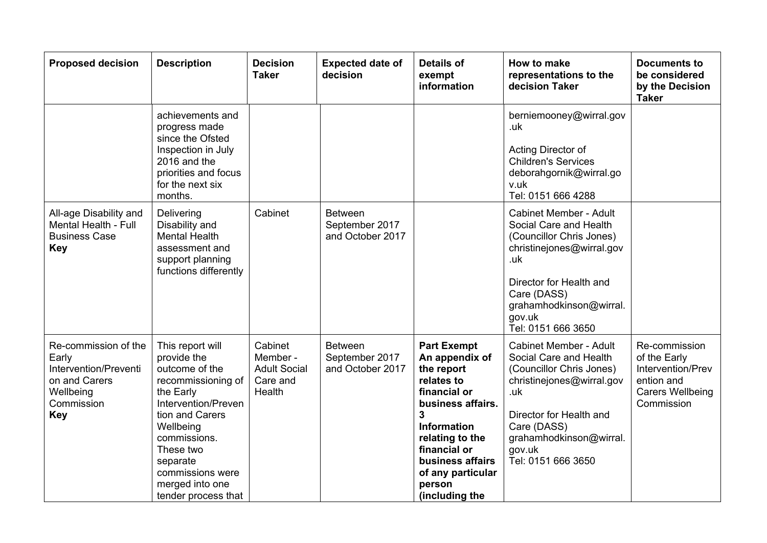| <b>Proposed decision</b>                                                                                         | <b>Description</b>                                                                                                                                                                                                                                 | <b>Decision</b><br><b>Taker</b>                                  | <b>Expected date of</b><br>decision                  | <b>Details of</b><br>exempt<br>information                                                                                                                                                                                               | How to make<br>representations to the<br>decision Taker                                                                                                                                                                      | <b>Documents to</b><br>be considered<br>by the Decision<br><b>Taker</b>                                   |
|------------------------------------------------------------------------------------------------------------------|----------------------------------------------------------------------------------------------------------------------------------------------------------------------------------------------------------------------------------------------------|------------------------------------------------------------------|------------------------------------------------------|------------------------------------------------------------------------------------------------------------------------------------------------------------------------------------------------------------------------------------------|------------------------------------------------------------------------------------------------------------------------------------------------------------------------------------------------------------------------------|-----------------------------------------------------------------------------------------------------------|
|                                                                                                                  | achievements and<br>progress made<br>since the Ofsted<br>Inspection in July<br>2016 and the<br>priorities and focus<br>for the next six<br>months.                                                                                                 |                                                                  |                                                      |                                                                                                                                                                                                                                          | berniemooney@wirral.gov<br>.uk<br>Acting Director of<br><b>Children's Services</b><br>deborahgornik@wirral.go<br>v.uk<br>Tel: 0151 666 4288                                                                                  |                                                                                                           |
| All-age Disability and<br>Mental Health - Full<br><b>Business Case</b><br><b>Key</b>                             | Delivering<br>Disability and<br><b>Mental Health</b><br>assessment and<br>support planning<br>functions differently                                                                                                                                | Cabinet                                                          | <b>Between</b><br>September 2017<br>and October 2017 |                                                                                                                                                                                                                                          | <b>Cabinet Member - Adult</b><br>Social Care and Health<br>(Councillor Chris Jones)<br>christinejones@wirral.gov<br>.uk<br>Director for Health and<br>Care (DASS)<br>grahamhodkinson@wirral.<br>gov.uk<br>Tel: 0151 666 3650 |                                                                                                           |
| Re-commission of the<br>Early<br>Intervention/Preventi<br>on and Carers<br>Wellbeing<br>Commission<br><b>Key</b> | This report will<br>provide the<br>outcome of the<br>recommissioning of<br>the Early<br>Intervention/Preven<br>tion and Carers<br>Wellbeing<br>commissions.<br>These two<br>separate<br>commissions were<br>merged into one<br>tender process that | Cabinet<br>Member -<br><b>Adult Social</b><br>Care and<br>Health | <b>Between</b><br>September 2017<br>and October 2017 | <b>Part Exempt</b><br>An appendix of<br>the report<br>relates to<br>financial or<br>business affairs.<br>3<br><b>Information</b><br>relating to the<br>financial or<br>business affairs<br>of any particular<br>person<br>(including the | <b>Cabinet Member - Adult</b><br>Social Care and Health<br>(Councillor Chris Jones)<br>christinejones@wirral.gov<br>.uk<br>Director for Health and<br>Care (DASS)<br>grahamhodkinson@wirral.<br>gov.uk<br>Tel: 0151 666 3650 | Re-commission<br>of the Early<br>Intervention/Prev<br>ention and<br><b>Carers Wellbeing</b><br>Commission |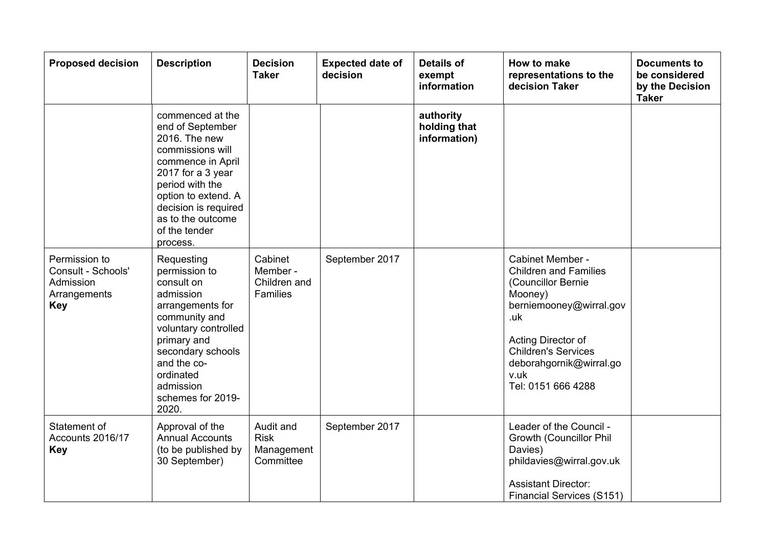| <b>Proposed decision</b>                                                       | <b>Description</b>                                                                                                                                                                                                                      | <b>Decision</b><br><b>Taker</b>                     | <b>Expected date of</b><br>decision | <b>Details of</b><br>exempt<br>information | How to make<br>representations to the<br>decision Taker                                                                                                                                                                          | <b>Documents to</b><br>be considered<br>by the Decision<br><b>Taker</b> |
|--------------------------------------------------------------------------------|-----------------------------------------------------------------------------------------------------------------------------------------------------------------------------------------------------------------------------------------|-----------------------------------------------------|-------------------------------------|--------------------------------------------|----------------------------------------------------------------------------------------------------------------------------------------------------------------------------------------------------------------------------------|-------------------------------------------------------------------------|
|                                                                                | commenced at the<br>end of September<br>2016. The new<br>commissions will<br>commence in April<br>2017 for a 3 year<br>period with the<br>option to extend. A<br>decision is required<br>as to the outcome<br>of the tender<br>process. |                                                     |                                     | authority<br>holding that<br>information)  |                                                                                                                                                                                                                                  |                                                                         |
| Permission to<br>Consult - Schools'<br>Admission<br>Arrangements<br><b>Key</b> | Requesting<br>permission to<br>consult on<br>admission<br>arrangements for<br>community and<br>voluntary controlled<br>primary and<br>secondary schools<br>and the co-<br>ordinated<br>admission<br>schemes for 2019-<br>2020.          | Cabinet<br>Member -<br>Children and<br>Families     | September 2017                      |                                            | Cabinet Member -<br><b>Children and Families</b><br>(Councillor Bernie<br>Mooney)<br>berniemooney@wirral.gov<br>.uk<br>Acting Director of<br><b>Children's Services</b><br>deborahgornik@wirral.go<br>v.uk<br>Tel: 0151 666 4288 |                                                                         |
| Statement of<br>Accounts 2016/17<br><b>Key</b>                                 | Approval of the<br><b>Annual Accounts</b><br>(to be published by<br>30 September)                                                                                                                                                       | Audit and<br><b>Risk</b><br>Management<br>Committee | September 2017                      |                                            | Leader of the Council -<br>Growth (Councillor Phil<br>Davies)<br>phildavies@wirral.gov.uk<br><b>Assistant Director:</b><br><b>Financial Services (S151)</b>                                                                      |                                                                         |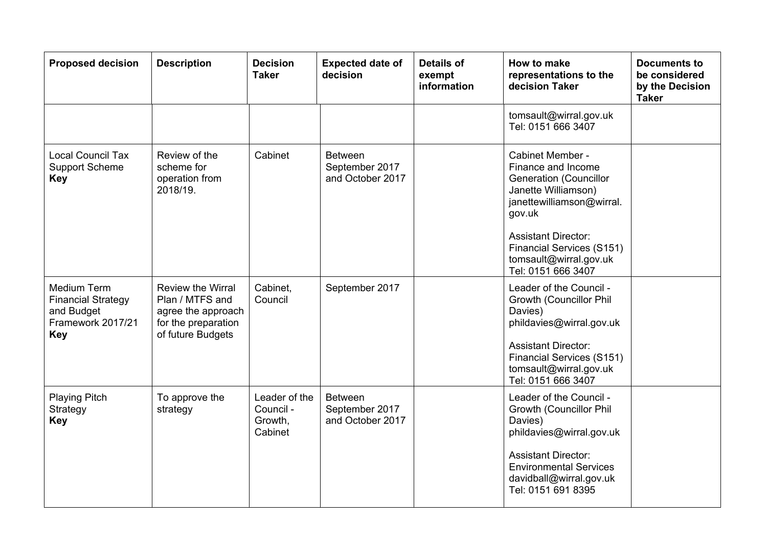| <b>Proposed decision</b>                                                                  | <b>Description</b>                                                                                     | <b>Decision</b><br><b>Taker</b>                  | <b>Expected date of</b><br>decision                  | <b>Details of</b><br>exempt<br>information | How to make<br>representations to the<br>decision Taker                                                                                                                                                                                                 | <b>Documents to</b><br>be considered<br>by the Decision<br><b>Taker</b> |
|-------------------------------------------------------------------------------------------|--------------------------------------------------------------------------------------------------------|--------------------------------------------------|------------------------------------------------------|--------------------------------------------|---------------------------------------------------------------------------------------------------------------------------------------------------------------------------------------------------------------------------------------------------------|-------------------------------------------------------------------------|
|                                                                                           |                                                                                                        |                                                  |                                                      |                                            | tomsault@wirral.gov.uk<br>Tel: 0151 666 3407                                                                                                                                                                                                            |                                                                         |
| <b>Local Council Tax</b><br><b>Support Scheme</b><br><b>Key</b>                           | Review of the<br>scheme for<br>operation from<br>2018/19.                                              | Cabinet                                          | <b>Between</b><br>September 2017<br>and October 2017 |                                            | Cabinet Member -<br>Finance and Income<br><b>Generation (Councillor</b><br>Janette Williamson)<br>janettewilliamson@wirral.<br>gov.uk<br><b>Assistant Director:</b><br><b>Financial Services (S151)</b><br>tomsault@wirral.gov.uk<br>Tel: 0151 666 3407 |                                                                         |
| Medium Term<br><b>Financial Strategy</b><br>and Budget<br>Framework 2017/21<br><b>Key</b> | Review the Wirral<br>Plan / MTFS and<br>agree the approach<br>for the preparation<br>of future Budgets | Cabinet,<br>Council                              | September 2017                                       |                                            | Leader of the Council -<br>Growth (Councillor Phil<br>Davies)<br>phildavies@wirral.gov.uk<br><b>Assistant Director:</b><br><b>Financial Services (S151)</b><br>tomsault@wirral.gov.uk<br>Tel: 0151 666 3407                                             |                                                                         |
| <b>Playing Pitch</b><br>Strategy<br><b>Key</b>                                            | To approve the<br>strategy                                                                             | Leader of the<br>Council -<br>Growth,<br>Cabinet | <b>Between</b><br>September 2017<br>and October 2017 |                                            | Leader of the Council -<br>Growth (Councillor Phil<br>Davies)<br>phildavies@wirral.gov.uk<br><b>Assistant Director:</b><br><b>Environmental Services</b><br>davidball@wirral.gov.uk<br>Tel: 0151 691 8395                                               |                                                                         |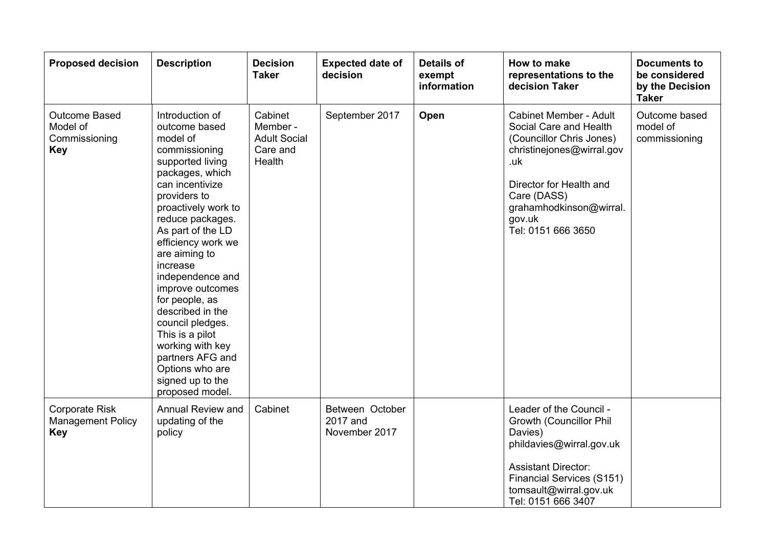| <b>Proposed decision</b>                                        | <b>Description</b>                                                                                                                                                                                                                                                                                                                                                                                                                                                                | <b>Decision</b><br><b>Taker</b>                                  | <b>Expected date of</b><br>decision          | <b>Details of</b><br>exempt<br>information | How to make<br>representations to the<br>decision Taker                                                                                                                                                                      | <b>Documents to</b><br>be considered<br>by the Decision<br><b>Taker</b> |
|-----------------------------------------------------------------|-----------------------------------------------------------------------------------------------------------------------------------------------------------------------------------------------------------------------------------------------------------------------------------------------------------------------------------------------------------------------------------------------------------------------------------------------------------------------------------|------------------------------------------------------------------|----------------------------------------------|--------------------------------------------|------------------------------------------------------------------------------------------------------------------------------------------------------------------------------------------------------------------------------|-------------------------------------------------------------------------|
| Outcome Based<br>Model of<br>Commissioning<br><b>Key</b>        | Introduction of<br>outcome based<br>model of<br>commissioning<br>supported living<br>packages, which<br>can incentivize<br>providers to<br>proactively work to<br>reduce packages.<br>As part of the LD<br>efficiency work we<br>are aiming to<br>increase<br>independence and<br>improve outcomes<br>for people, as<br>described in the<br>council pledges.<br>This is a pilot<br>working with key<br>partners AFG and<br>Options who are<br>signed up to the<br>proposed model. | Cabinet<br>Member -<br><b>Adult Social</b><br>Care and<br>Health | September 2017                               | Open                                       | <b>Cabinet Member - Adult</b><br>Social Care and Health<br>(Councillor Chris Jones)<br>christinejones@wirral.gov<br>.uk<br>Director for Health and<br>Care (DASS)<br>grahamhodkinson@wirral.<br>gov.uk<br>Tel: 0151 666 3650 | Outcome based<br>model of<br>commissioning                              |
| <b>Corporate Risk</b><br><b>Management Policy</b><br><b>Key</b> | <b>Annual Review and</b><br>updating of the<br>policy                                                                                                                                                                                                                                                                                                                                                                                                                             | Cabinet                                                          | Between October<br>2017 and<br>November 2017 |                                            | Leader of the Council -<br>Growth (Councillor Phil<br>Davies)<br>phildavies@wirral.gov.uk<br><b>Assistant Director:</b><br><b>Financial Services (S151)</b><br>tomsault@wirral.gov.uk<br>Tel: 0151 666 3407                  |                                                                         |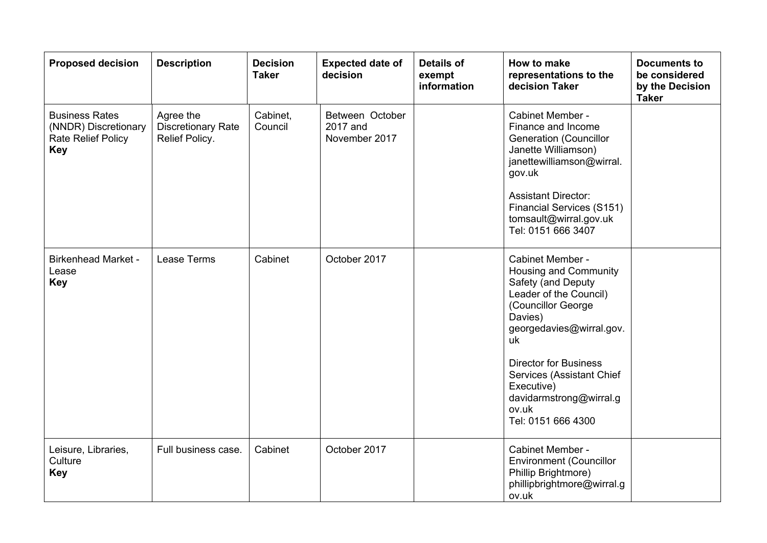| <b>Proposed decision</b>                                                                 | <b>Description</b>                                       | <b>Decision</b><br><b>Taker</b> | <b>Expected date of</b><br>decision          | <b>Details of</b><br>exempt<br>information | How to make<br>representations to the<br>decision Taker                                                                                                                                                                                                                                                  | <b>Documents to</b><br>be considered<br>by the Decision<br><b>Taker</b> |
|------------------------------------------------------------------------------------------|----------------------------------------------------------|---------------------------------|----------------------------------------------|--------------------------------------------|----------------------------------------------------------------------------------------------------------------------------------------------------------------------------------------------------------------------------------------------------------------------------------------------------------|-------------------------------------------------------------------------|
| <b>Business Rates</b><br>(NNDR) Discretionary<br><b>Rate Relief Policy</b><br><b>Key</b> | Agree the<br><b>Discretionary Rate</b><br>Relief Policy. | Cabinet,<br>Council             | Between October<br>2017 and<br>November 2017 |                                            | Cabinet Member -<br>Finance and Income<br><b>Generation (Councillor</b><br>Janette Williamson)<br>janettewilliamson@wirral.<br>gov.uk<br><b>Assistant Director:</b><br><b>Financial Services (S151)</b><br>tomsault@wirral.gov.uk<br>Tel: 0151 666 3407                                                  |                                                                         |
| <b>Birkenhead Market -</b><br>Lease<br><b>Key</b>                                        | Lease Terms                                              | Cabinet                         | October 2017                                 |                                            | Cabinet Member -<br><b>Housing and Community</b><br>Safety (and Deputy<br>Leader of the Council)<br>(Councillor George<br>Davies)<br>georgedavies@wirral.gov.<br>uk<br><b>Director for Business</b><br>Services (Assistant Chief<br>Executive)<br>davidarmstrong@wirral.g<br>ov.uk<br>Tel: 0151 666 4300 |                                                                         |
| Leisure, Libraries,<br>Culture<br>Key                                                    | Full business case.                                      | Cabinet                         | October 2017                                 |                                            | Cabinet Member -<br><b>Environment (Councillor</b><br>Phillip Brightmore)<br>phillipbrightmore@wirral.g<br>ov.uk                                                                                                                                                                                         |                                                                         |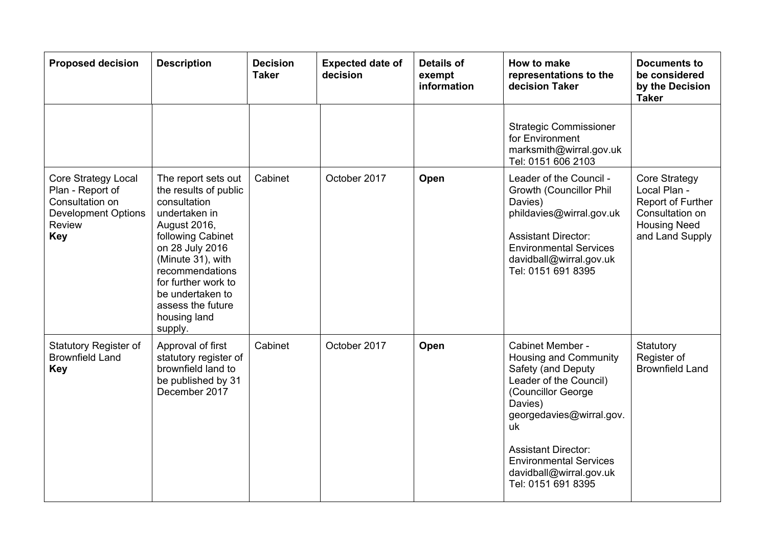| <b>Proposed decision</b>                                                                                                | <b>Description</b>                                                                                                                                                                                                                                                       | <b>Decision</b><br><b>Taker</b> | <b>Expected date of</b><br>decision | <b>Details of</b><br>exempt<br>information | How to make<br>representations to the<br>decision Taker                                                                                                                                                                                                                      | <b>Documents to</b><br>be considered<br>by the Decision<br><b>Taker</b>                                         |
|-------------------------------------------------------------------------------------------------------------------------|--------------------------------------------------------------------------------------------------------------------------------------------------------------------------------------------------------------------------------------------------------------------------|---------------------------------|-------------------------------------|--------------------------------------------|------------------------------------------------------------------------------------------------------------------------------------------------------------------------------------------------------------------------------------------------------------------------------|-----------------------------------------------------------------------------------------------------------------|
|                                                                                                                         |                                                                                                                                                                                                                                                                          |                                 |                                     |                                            | <b>Strategic Commissioner</b><br>for Environment<br>marksmith@wirral.gov.uk<br>Tel: 0151 606 2103                                                                                                                                                                            |                                                                                                                 |
| <b>Core Strategy Local</b><br>Plan - Report of<br>Consultation on<br><b>Development Options</b><br>Review<br><b>Key</b> | The report sets out<br>the results of public<br>consultation<br>undertaken in<br>August 2016,<br>following Cabinet<br>on 28 July 2016<br>(Minute 31), with<br>recommendations<br>for further work to<br>be undertaken to<br>assess the future<br>housing land<br>supply. | Cabinet                         | October 2017                        | Open                                       | Leader of the Council -<br>Growth (Councillor Phil<br>Davies)<br>phildavies@wirral.gov.uk<br><b>Assistant Director:</b><br><b>Environmental Services</b><br>davidball@wirral.gov.uk<br>Tel: 0151 691 8395                                                                    | Core Strategy<br>Local Plan -<br>Report of Further<br>Consultation on<br><b>Housing Need</b><br>and Land Supply |
| <b>Statutory Register of</b><br><b>Brownfield Land</b><br><b>Key</b>                                                    | Approval of first<br>statutory register of<br>brownfield land to<br>be published by 31<br>December 2017                                                                                                                                                                  | Cabinet                         | October 2017                        | Open                                       | Cabinet Member -<br>Housing and Community<br>Safety (and Deputy<br>Leader of the Council)<br>(Councillor George<br>Davies)<br>georgedavies@wirral.gov.<br>uk<br><b>Assistant Director:</b><br><b>Environmental Services</b><br>davidball@wirral.gov.uk<br>Tel: 0151 691 8395 | Statutory<br>Register of<br><b>Brownfield Land</b>                                                              |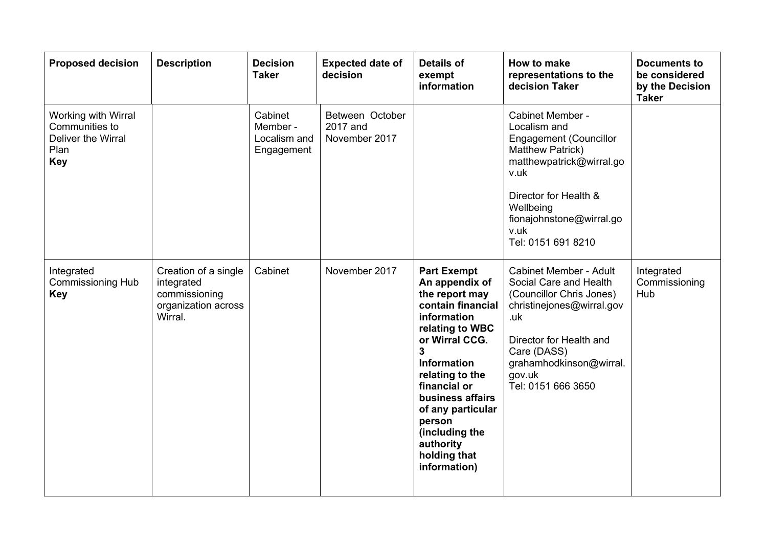| <b>Proposed decision</b>                                                          | <b>Description</b>                                                                    | <b>Decision</b><br><b>Taker</b>                   | <b>Expected date of</b><br>decision          | <b>Details of</b><br>exempt<br>information                                                                                                                                                                                                                                                                                 | How to make<br>representations to the<br>decision Taker                                                                                                                                                                      | <b>Documents to</b><br>be considered<br>by the Decision<br><b>Taker</b> |
|-----------------------------------------------------------------------------------|---------------------------------------------------------------------------------------|---------------------------------------------------|----------------------------------------------|----------------------------------------------------------------------------------------------------------------------------------------------------------------------------------------------------------------------------------------------------------------------------------------------------------------------------|------------------------------------------------------------------------------------------------------------------------------------------------------------------------------------------------------------------------------|-------------------------------------------------------------------------|
| Working with Wirral<br>Communities to<br>Deliver the Wirral<br>Plan<br><b>Key</b> |                                                                                       | Cabinet<br>Member -<br>Localism and<br>Engagement | Between October<br>2017 and<br>November 2017 |                                                                                                                                                                                                                                                                                                                            | Cabinet Member -<br>Localism and<br><b>Engagement (Councillor</b><br>Matthew Patrick)<br>matthewpatrick@wirral.go<br>v.uk<br>Director for Health &<br>Wellbeing<br>fionajohnstone@wirral.go<br>v.uk<br>Tel: 0151 691 8210    |                                                                         |
| Integrated<br><b>Commissioning Hub</b><br><b>Key</b>                              | Creation of a single<br>integrated<br>commissioning<br>organization across<br>Wirral. | Cabinet                                           | November 2017                                | <b>Part Exempt</b><br>An appendix of<br>the report may<br>contain financial<br>information<br>relating to WBC<br>or Wirral CCG.<br>$\mathbf{3}$<br><b>Information</b><br>relating to the<br>financial or<br>business affairs<br>of any particular<br>person<br>(including the<br>authority<br>holding that<br>information) | <b>Cabinet Member - Adult</b><br>Social Care and Health<br>(Councillor Chris Jones)<br>christinejones@wirral.gov<br>.uk<br>Director for Health and<br>Care (DASS)<br>grahamhodkinson@wirral.<br>gov.uk<br>Tel: 0151 666 3650 | Integrated<br>Commissioning<br>Hub                                      |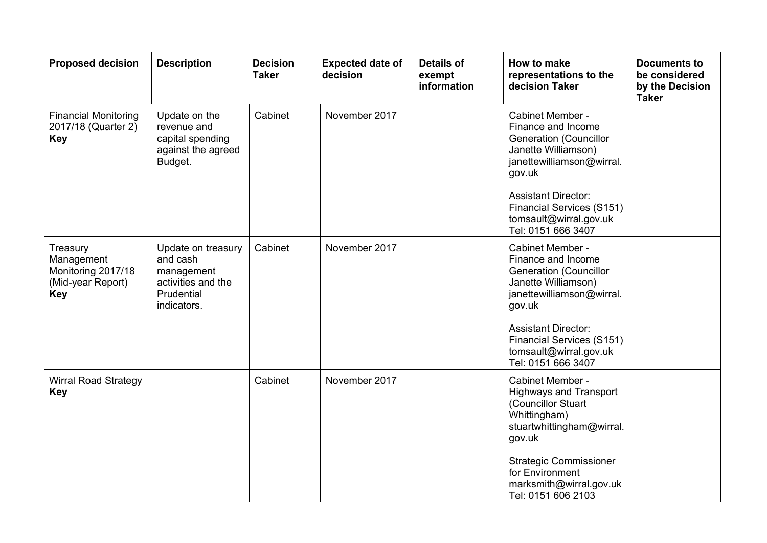| <b>Proposed decision</b>                                                 | <b>Description</b>                                                                              | <b>Decision</b><br><b>Taker</b> | <b>Expected date of</b><br>decision | <b>Details of</b><br>exempt<br>information | <b>How to make</b><br>representations to the<br>decision Taker                                                                                                      | <b>Documents to</b><br>be considered<br>by the Decision<br><b>Taker</b> |
|--------------------------------------------------------------------------|-------------------------------------------------------------------------------------------------|---------------------------------|-------------------------------------|--------------------------------------------|---------------------------------------------------------------------------------------------------------------------------------------------------------------------|-------------------------------------------------------------------------|
| <b>Financial Monitoring</b><br>2017/18 (Quarter 2)<br><b>Key</b>         | Update on the<br>revenue and<br>capital spending<br>against the agreed<br>Budget.               | Cabinet                         | November 2017                       |                                            | Cabinet Member -<br>Finance and Income<br><b>Generation (Councillor</b><br>Janette Williamson)<br>janettewilliamson@wirral.<br>gov.uk                               |                                                                         |
|                                                                          |                                                                                                 |                                 |                                     |                                            | <b>Assistant Director:</b><br>Financial Services (S151)<br>tomsault@wirral.gov.uk<br>Tel: 0151 666 3407                                                             |                                                                         |
| Treasury<br>Management<br>Monitoring 2017/18<br>(Mid-year Report)<br>Key | Update on treasury<br>and cash<br>management<br>activities and the<br>Prudential<br>indicators. | Cabinet                         | November 2017                       |                                            | Cabinet Member -<br>Finance and Income<br><b>Generation (Councillor</b><br>Janette Williamson)<br>janettewilliamson@wirral.<br>gov.uk<br><b>Assistant Director:</b> |                                                                         |
|                                                                          |                                                                                                 |                                 |                                     |                                            | Financial Services (S151)<br>tomsault@wirral.gov.uk<br>Tel: 0151 666 3407                                                                                           |                                                                         |
| <b>Wirral Road Strategy</b><br><b>Key</b>                                |                                                                                                 | Cabinet                         | November 2017                       |                                            | Cabinet Member -<br><b>Highways and Transport</b><br>(Councillor Stuart<br>Whittingham)<br>stuartwhittingham@wirral.<br>gov.uk                                      |                                                                         |
|                                                                          |                                                                                                 |                                 |                                     |                                            | <b>Strategic Commissioner</b><br>for Environment<br>marksmith@wirral.gov.uk<br>Tel: 0151 606 2103                                                                   |                                                                         |